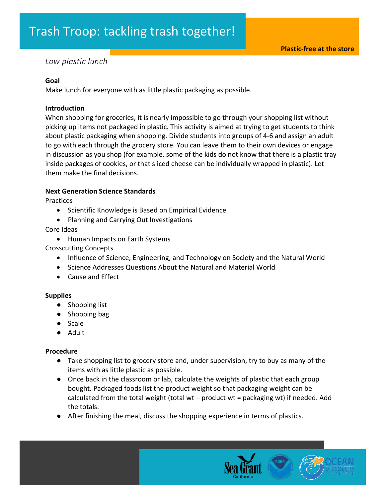# *Low plastic lunch*

## **Goal**

Make lunch for everyone with as little plastic packaging as possible.

## **Introduction**

When shopping for groceries, it is nearly impossible to go through your shopping list without picking up items not packaged in plastic. This activity is aimed at trying to get students to think about plastic packaging when shopping. Divide students into groups of 4-6 and assign an adult to go with each through the grocery store. You can leave them to their own devices or engage in discussion as you shop (for example, some of the kids do not know that there is a plastic tray inside packages of cookies, or that sliced cheese can be individually wrapped in plastic). Let them make the final decisions.

## **Next Generation Science Standards**

Practices

- Scientific Knowledge is Based on Empirical Evidence
- Planning and Carrying Out Investigations

Core Ideas

• Human Impacts on Earth Systems

Crosscutting Concepts

- Influence of Science, Engineering, and Technology on Society and the Natural World
- Science Addresses Questions About the Natural and Material World
- Cause and Effect

#### **Supplies**

- Shopping list
- Shopping bag
- Scale
- Adult

## **Procedure**

- Take shopping list to grocery store and, under supervision, try to buy as many of the items with as little plastic as possible.
- Once back in the classroom or lab, calculate the weights of plastic that each group bought. Packaged foods list the product weight so that packaging weight can be calculated from the total weight (total wt  $-$  product wt = packaging wt) if needed. Add the totals.
- After finishing the meal, discuss the shopping experience in terms of plastics.